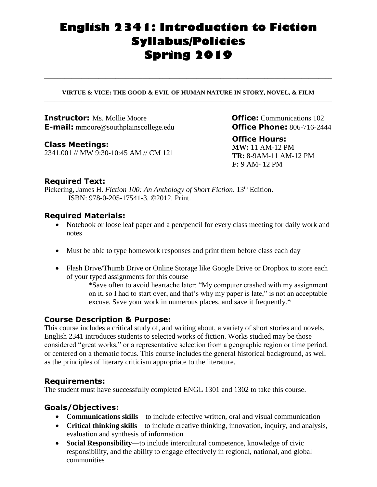# **English 2341: Introduction to Fiction Syllabus/Policies Spring 2019**

#### **VIRTUE & VICE: THE GOOD & EVIL OF HUMAN NATURE IN STORY, NOVEL, & FILM \_\_\_\_\_\_\_\_\_\_\_\_\_\_\_\_\_\_\_\_\_\_\_\_\_\_\_\_\_\_\_\_\_\_\_\_\_\_\_\_\_\_\_\_\_\_\_\_\_\_\_\_\_\_\_\_\_\_\_\_\_\_\_\_\_\_\_\_\_\_\_\_\_\_\_\_\_\_\_\_\_\_\_\_\_**

**\_\_\_\_\_\_\_\_\_\_\_\_\_\_\_\_\_\_\_\_\_\_\_\_\_\_\_\_\_\_\_\_\_\_\_\_\_\_\_\_\_\_\_\_\_\_\_\_\_\_\_\_\_\_\_\_\_\_\_\_\_\_\_\_\_\_\_\_\_\_\_\_\_\_\_\_\_\_\_\_\_\_\_\_\_**

**Instructor:** Ms. Mollie Moore<br> **E-mail:** mmoore@southplainscollege.edu **CHECEPhone:** 806-716-2444 **E-mail:** mmoore@southplainscollege.edu

**Class Meetings:** 2341.001 // MW 9:30-10:45 AM // CM 121

### **Office Hours:**

**MW:** 11 AM-12 PM **TR:** 8-9AM-11 AM-12 PM **F:** 9 AM- 12 PM

# **Required Text:**

Pickering, James H. *Fiction 100: An Anthology of Short Fiction*. 13<sup>th</sup> Edition. ISBN: 978-0-205-17541-3. ©2012. Print.

# **Required Materials:**

- Notebook or loose leaf paper and a pen/pencil for every class meeting for daily work and notes
- Must be able to type homework responses and print them before class each day
- Flash Drive/Thumb Drive or Online Storage like Google Drive or Dropbox to store each of your typed assignments for this course

\*Save often to avoid heartache later: "My computer crashed with my assignment on it, so I had to start over, and that's why my paper is late," is not an acceptable excuse. Save your work in numerous places, and save it frequently.\*

# **Course Description & Purpose:**

This course includes a critical study of, and writing about, a variety of short stories and novels. English 2341 introduces students to selected works of fiction. Works studied may be those considered "great works," or a representative selection from a geographic region or time period, or centered on a thematic focus. This course includes the general historical background, as well as the principles of literary criticism appropriate to the literature.

# **Requirements:**

The student must have successfully completed ENGL 1301 and 1302 to take this course.

# **Goals/Objectives:**

- **Communications skills**—to include effective written, oral and visual communication
- **Critical thinking skills**—to include creative thinking, innovation, inquiry, and analysis, evaluation and synthesis of information
- **Social Responsibility**—to include intercultural competence, knowledge of civic responsibility, and the ability to engage effectively in regional, national, and global communities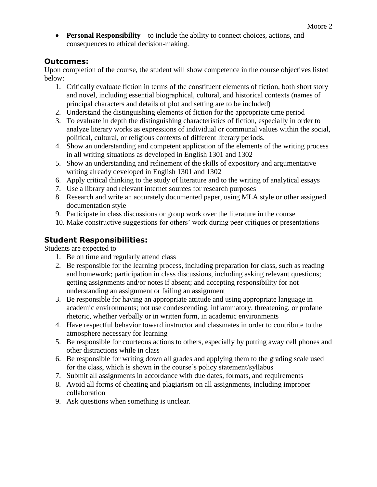**Personal Responsibility**—to include the ability to connect choices, actions, and consequences to ethical decision-making.

# **Outcomes:**

Upon completion of the course, the student will show competence in the course objectives listed below:

- 1. Critically evaluate fiction in terms of the constituent elements of fiction, both short story and novel, including essential biographical, cultural, and historical contexts (names of principal characters and details of plot and setting are to be included)
- 2. Understand the distinguishing elements of fiction for the appropriate time period
- 3. To evaluate in depth the distinguishing characteristics of fiction, especially in order to analyze literary works as expressions of individual or communal values within the social, political, cultural, or religious contexts of different literary periods.
- 4. Show an understanding and competent application of the elements of the writing process in all writing situations as developed in English 1301 and 1302
- 5. Show an understanding and refinement of the skills of expository and argumentative writing already developed in English 1301 and 1302
- 6. Apply critical thinking to the study of literature and to the writing of analytical essays
- 7. Use a library and relevant internet sources for research purposes
- 8. Research and write an accurately documented paper, using MLA style or other assigned documentation style
- 9. Participate in class discussions or group work over the literature in the course
- 10. Make constructive suggestions for others' work during peer critiques or presentations

# **Student Responsibilities:**

Students are expected to

- 1. Be on time and regularly attend class
- 2. Be responsible for the learning process, including preparation for class, such as reading and homework; participation in class discussions, including asking relevant questions; getting assignments and/or notes if absent; and accepting responsibility for not understanding an assignment or failing an assignment
- 3. Be responsible for having an appropriate attitude and using appropriate language in academic environments; not use condescending, inflammatory, threatening, or profane rhetoric, whether verbally or in written form, in academic environments
- 4. Have respectful behavior toward instructor and classmates in order to contribute to the atmosphere necessary for learning
- 5. Be responsible for courteous actions to others, especially by putting away cell phones and other distractions while in class
- 6. Be responsible for writing down all grades and applying them to the grading scale used for the class, which is shown in the course's policy statement/syllabus
- 7. Submit all assignments in accordance with due dates, formats, and requirements
- 8. Avoid all forms of cheating and plagiarism on all assignments, including improper collaboration
- 9. Ask questions when something is unclear.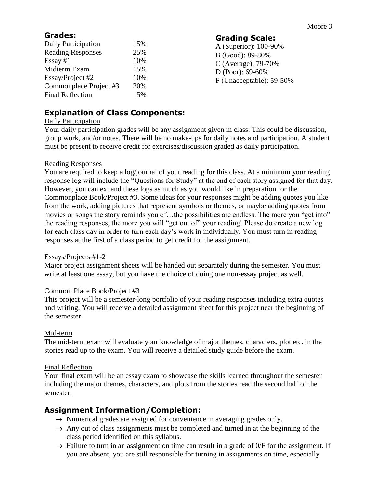# **Grades:**

| Daily Participation      | 15% |
|--------------------------|-----|
| <b>Reading Responses</b> | 25% |
| Essay $#1$               | 10% |
| Midterm Exam             | 15% |
| Essay/Project #2         | 10% |
| Commonplace Project #3   | 20% |
| <b>Final Reflection</b>  | 5%  |

**Grading Scale:** A (Superior): 100-90% B (Good): 89-80% C (Average): 79-70% D (Poor): 69-60% F (Unacceptable): 59-50%

# **Explanation of Class Components:**

### Daily Participation

Your daily participation grades will be any assignment given in class. This could be discussion, group work, and/or notes. There will be no make-ups for daily notes and participation. A student must be present to receive credit for exercises/discussion graded as daily participation.

# Reading Responses

You are required to keep a log/journal of your reading for this class. At a minimum your reading response log will include the "Questions for Study" at the end of each story assigned for that day. However, you can expand these logs as much as you would like in preparation for the Commonplace Book/Project #3. Some ideas for your responses might be adding quotes you like from the work, adding pictures that represent symbols or themes, or maybe adding quotes from movies or songs the story reminds you of…the possibilities are endless. The more you "get into" the reading responses, the more you will "get out of" your reading! Please do create a new log for each class day in order to turn each day's work in individually. You must turn in reading responses at the first of a class period to get credit for the assignment.

### Essays/Projects #1-2

Major project assignment sheets will be handed out separately during the semester. You must write at least one essay, but you have the choice of doing one non-essay project as well.

# Common Place Book/Project #3

This project will be a semester-long portfolio of your reading responses including extra quotes and writing. You will receive a detailed assignment sheet for this project near the beginning of the semester.

# Mid-term

The mid-term exam will evaluate your knowledge of major themes, characters, plot etc. in the stories read up to the exam. You will receive a detailed study guide before the exam.

# Final Reflection

Your final exam will be an essay exam to showcase the skills learned throughout the semester including the major themes, characters, and plots from the stories read the second half of the semester.

# **Assignment Information/Completion:**

- $\rightarrow$  Numerical grades are assigned for convenience in averaging grades only.
- $\rightarrow$  Any out of class assignments must be completed and turned in at the beginning of the class period identified on this syllabus.
- $\rightarrow$  Failure to turn in an assignment on time can result in a grade of 0/F for the assignment. If you are absent, you are still responsible for turning in assignments on time, especially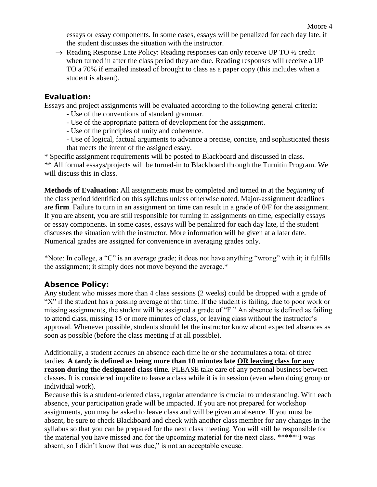essays or essay components. In some cases, essays will be penalized for each day late, if the student discusses the situation with the instructor.

 $\rightarrow$  Reading Response Late Policy: Reading responses can only receive UP TO  $\frac{1}{2}$  credit when turned in after the class period they are due. Reading responses will receive a UP TO a 70% if emailed instead of brought to class as a paper copy (this includes when a student is absent).

# **Evaluation:**

Essays and project assignments will be evaluated according to the following general criteria:

- Use of the conventions of standard grammar.
- Use of the appropriate pattern of development for the assignment.
- Use of the principles of unity and coherence.
- Use of logical, factual arguments to advance a precise, concise, and sophisticated thesis that meets the intent of the assigned essay.

\* Specific assignment requirements will be posted to Blackboard and discussed in class. \*\* All formal essays/projects will be turned-in to Blackboard through the Turnitin Program. We will discuss this in class.

**Methods of Evaluation:** All assignments must be completed and turned in at the *beginning* of the class period identified on this syllabus unless otherwise noted. Major-assignment deadlines are **firm**. Failure to turn in an assignment on time can result in a grade of 0/F for the assignment. If you are absent, you are still responsible for turning in assignments on time, especially essays or essay components. In some cases, essays will be penalized for each day late, if the student discusses the situation with the instructor. More information will be given at a later date. Numerical grades are assigned for convenience in averaging grades only.

\*Note: In college, a "C" is an average grade; it does not have anything "wrong" with it; it fulfills the assignment; it simply does not move beyond the average.\*

# **Absence Policy:**

Any student who misses more than 4 class sessions (2 weeks) could be dropped with a grade of "X" if the student has a passing average at that time. If the student is failing, due to poor work or missing assignments, the student will be assigned a grade of "F." An absence is defined as failing to attend class, missing 15 or more minutes of class, or leaving class without the instructor's approval. Whenever possible, students should let the instructor know about expected absences as soon as possible (before the class meeting if at all possible).

Additionally, a student accrues an absence each time he or she accumulates a total of three tardies. **A tardy is defined as being more than 10 minutes late OR leaving class for any reason during the designated class time.** PLEASE take care of any personal business between classes. It is considered impolite to leave a class while it is in session (even when doing group or individual work).

Because this is a student-oriented class, regular attendance is crucial to understanding. With each absence, your participation grade will be impacted. If you are not prepared for workshop assignments, you may be asked to leave class and will be given an absence. If you must be absent, be sure to check Blackboard and check with another class member for any changes in the syllabus so that you can be prepared for the next class meeting. You will still be responsible for the material you have missed and for the upcoming material for the next class. \*\*\*\*\*"I was absent, so I didn't know that was due," is not an acceptable excuse.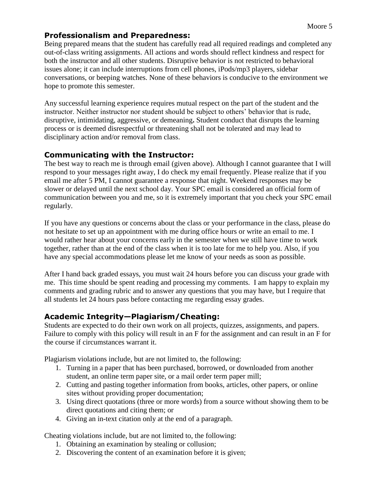# **Professionalism and Preparedness:**

Being prepared means that the student has carefully read all required readings and completed any out-of-class writing assignments. All actions and words should reflect kindness and respect for both the instructor and all other students. Disruptive behavior is not restricted to behavioral issues alone; it can include interruptions from cell phones, iPods/mp3 players, sidebar conversations, or beeping watches. None of these behaviors is conducive to the environment we hope to promote this semester.

Any successful learning experience requires mutual respect on the part of the student and the instructor. Neither instructor nor student should be subject to others' behavior that is rude, disruptive, intimidating, aggressive, or demeaning**.** Student conduct that disrupts the learning process or is deemed disrespectful or threatening shall not be tolerated and may lead to disciplinary action and/or removal from class.

# **Communicating with the Instructor:**

The best way to reach me is through email (given above). Although I cannot guarantee that I will respond to your messages right away, I do check my email frequently. Please realize that if you email me after 5 PM, I cannot guarantee a response that night. Weekend responses may be slower or delayed until the next school day. Your SPC email is considered an official form of communication between you and me, so it is extremely important that you check your SPC email regularly.

If you have any questions or concerns about the class or your performance in the class, please do not hesitate to set up an appointment with me during office hours or write an email to me. I would rather hear about your concerns early in the semester when we still have time to work together, rather than at the end of the class when it is too late for me to help you. Also, if you have any special accommodations please let me know of your needs as soon as possible.

After I hand back graded essays, you must wait 24 hours before you can discuss your grade with me. This time should be spent reading and processing my comments. I am happy to explain my comments and grading rubric and to answer any questions that you may have, but I require that all students let 24 hours pass before contacting me regarding essay grades.

# **Academic Integrity—Plagiarism/Cheating:**

Students are expected to do their own work on all projects, quizzes, assignments, and papers. Failure to comply with this policy will result in an F for the assignment and can result in an F for the course if circumstances warrant it.

Plagiarism violations include, but are not limited to, the following:

- 1. Turning in a paper that has been purchased, borrowed, or downloaded from another student, an online term paper site, or a mail order term paper mill;
- 2. Cutting and pasting together information from books, articles, other papers, or online sites without providing proper documentation;
- 3. Using direct quotations (three or more words) from a source without showing them to be direct quotations and citing them; or
- 4. Giving an in-text citation only at the end of a paragraph.

Cheating violations include, but are not limited to, the following:

- 1. Obtaining an examination by stealing or collusion;
- 2. Discovering the content of an examination before it is given;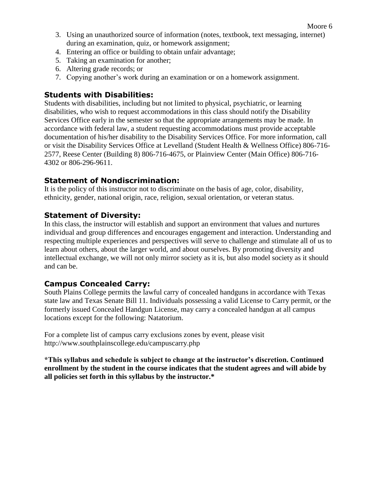- 3. Using an unauthorized source of information (notes, textbook, text messaging, internet) during an examination, quiz, or homework assignment;
- 4. Entering an office or building to obtain unfair advantage;
- 5. Taking an examination for another;
- 6. Altering grade records; or
- 7. Copying another's work during an examination or on a homework assignment.

# **Students with Disabilities:**

Students with disabilities, including but not limited to physical, psychiatric, or learning disabilities, who wish to request accommodations in this class should notify the Disability Services Office early in the semester so that the appropriate arrangements may be made. In accordance with federal law, a student requesting accommodations must provide acceptable documentation of his/her disability to the Disability Services Office. For more information, call or visit the Disability Services Office at Levelland (Student Health & Wellness Office) 806-716- 2577, Reese Center (Building 8) 806-716-4675, or Plainview Center (Main Office) 806-716- 4302 or 806-296-9611.

# **Statement of Nondiscrimination:**

It is the policy of this instructor not to discriminate on the basis of age, color, disability, ethnicity, gender, national origin, race, religion, sexual orientation, or veteran status.

# **Statement of Diversity:**

In this class, the instructor will establish and support an environment that values and nurtures individual and group differences and encourages engagement and interaction. Understanding and respecting multiple experiences and perspectives will serve to challenge and stimulate all of us to learn about others, about the larger world, and about ourselves. By promoting diversity and intellectual exchange, we will not only mirror society as it is, but also model society as it should and can be.

# **Campus Concealed Carry:**

South Plains College permits the lawful carry of concealed handguns in accordance with Texas state law and Texas Senate Bill 11. Individuals possessing a valid License to Carry permit, or the formerly issued Concealed Handgun License, may carry a concealed handgun at all campus locations except for the following: Natatorium.

For a complete list of campus carry exclusions zones by event, please visit http://www.southplainscollege.edu/campuscarry.php

**\*This syllabus and schedule is subject to change at the instructor's discretion. Continued enrollment by the student in the course indicates that the student agrees and will abide by all policies set forth in this syllabus by the instructor.\***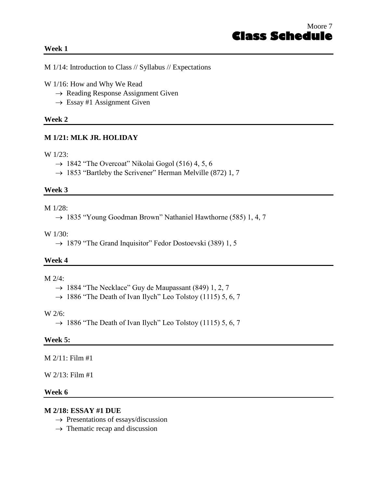#### **Week 1**

M 1/14: Introduction to Class // Syllabus // Expectations

- W 1/16: How and Why We Read
	- $\rightarrow$  Reading Response Assignment Given
	- $\rightarrow$  Essay #1 Assignment Given

#### **Week 2**

### **M 1/21: MLK JR. HOLIDAY**

#### W 1/23:

 $\rightarrow$  1842 "The Overcoat" Nikolai Gogol (516) 4, 5, 6

 $\rightarrow$  1853 "Bartleby the Scrivener" Herman Melville (872) 1, 7

#### **Week 3**

#### M 1/28:

 $\rightarrow$  1835 "Young Goodman Brown" Nathaniel Hawthorne (585) 1, 4, 7

#### W 1/30:

 $\rightarrow$  1879 "The Grand Inquisitor" Fedor Dostoevski (389) 1, 5

#### **Week 4**

### $M$   $2/4$ :

- $\rightarrow$  1884 "The Necklace" Guy de Maupassant (849) 1, 2, 7
- $\rightarrow$  1886 "The Death of Ivan Ilych" Leo Tolstoy (1115) 5, 6, 7

#### W 2/6:

 $\rightarrow$  1886 "The Death of Ivan Ilych" Leo Tolstoy (1115) 5, 6, 7

#### **Week 5:**

M 2/11: Film #1

### W 2/13: Film #1

#### **Week 6**

#### **M 2/18: ESSAY #1 DUE**

- $\rightarrow$  Presentations of essays/discussion
- $\rightarrow$  Thematic recap and discussion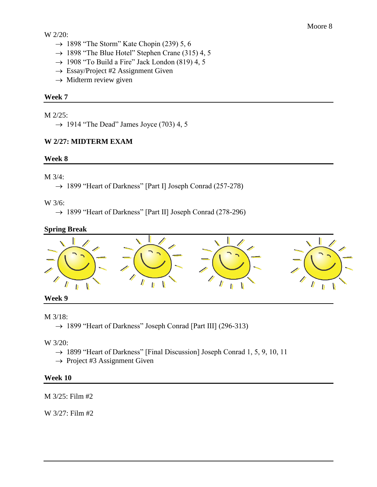# W 2/20:

- $\rightarrow$  1898 "The Storm" Kate Chopin (239) 5, 6
- $\rightarrow$  1898 "The Blue Hotel" Stephen Crane (315) 4, 5
- $\rightarrow$  1908 "To Build a Fire" Jack London (819) 4, 5
- $\rightarrow$  Essay/Project #2 Assignment Given
- $\rightarrow$  Midterm review given

# **Week 7**

M 2/25:

 $\rightarrow$  1914 "The Dead" James Joyce (703) 4, 5

# **W 2/27: MIDTERM EXAM**

### **Week 8**

# M 3/4:

 $\rightarrow$  1899 "Heart of Darkness" [Part I] Joseph Conrad (257-278)

W 3/6:

→ 1899 "Heart of Darkness" [Part II] Joseph Conrad (278-296)

# **Spring Break**



# **Week 9**

# M 3/18:

 $\rightarrow$  1899 "Heart of Darkness" Joseph Conrad [Part III] (296-313)

W 3/20:

- $\rightarrow$  1899 "Heart of Darkness" [Final Discussion] Joseph Conrad 1, 5, 9, 10, 11
- $\rightarrow$  Project #3 Assignment Given

# **Week 10**

M 3/25: Film #2

W 3/27: Film #2